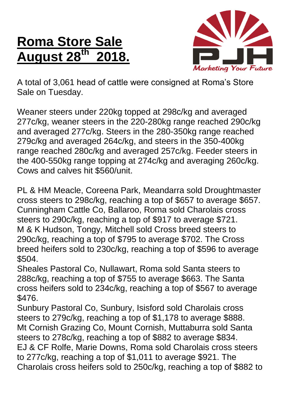## **Roma Store Sale August 28 th 2018.**



A total of 3,061 head of cattle were consigned at Roma's Store Sale on Tuesday.

Weaner steers under 220kg topped at 298c/kg and averaged 277c/kg, weaner steers in the 220-280kg range reached 290c/kg and averaged 277c/kg. Steers in the 280-350kg range reached 279c/kg and averaged 264c/kg, and steers in the 350-400kg range reached 280c/kg and averaged 257c/kg. Feeder steers in the 400-550kg range topping at 274c/kg and averaging 260c/kg. Cows and calves hit \$560/unit.

PL & HM Meacle, Coreena Park, Meandarra sold Droughtmaster cross steers to 298c/kg, reaching a top of \$657 to average \$657. Cunningham Cattle Co, Ballaroo, Roma sold Charolais cross steers to 290c/kg, reaching a top of \$917 to average \$721. M & K Hudson, Tongy, Mitchell sold Cross breed steers to 290c/kg, reaching a top of \$795 to average \$702. The Cross breed heifers sold to 230c/kg, reaching a top of \$596 to average \$504.

Sheales Pastoral Co, Nullawart, Roma sold Santa steers to 288c/kg, reaching a top of \$755 to average \$663. The Santa cross heifers sold to 234c/kg, reaching a top of \$567 to average \$476.

Sunbury Pastoral Co, Sunbury, Isisford sold Charolais cross steers to 279c/kg, reaching a top of \$1,178 to average \$888. Mt Cornish Grazing Co, Mount Cornish, Muttaburra sold Santa steers to 278c/kg, reaching a top of \$882 to average \$834. EJ & CF Rolfe, Marie Downs, Roma sold Charolais cross steers to 277c/kg, reaching a top of \$1,011 to average \$921. The Charolais cross heifers sold to 250c/kg, reaching a top of \$882 to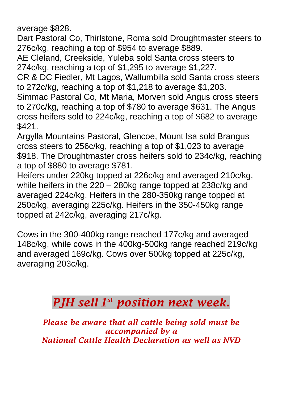average \$828.

Dart Pastoral Co, Thirlstone, Roma sold Droughtmaster steers to 276c/kg, reaching a top of \$954 to average \$889.

AE Cleland, Creekside, Yuleba sold Santa cross steers to 274c/kg, reaching a top of \$1,295 to average \$1,227.

CR & DC Fiedler, Mt Lagos, Wallumbilla sold Santa cross steers to 272c/kg, reaching a top of \$1,218 to average \$1,203.

Simmac Pastoral Co, Mt Maria, Morven sold Angus cross steers to 270c/kg, reaching a top of \$780 to average \$631. The Angus cross heifers sold to 224c/kg, reaching a top of \$682 to average \$421.

Argylla Mountains Pastoral, Glencoe, Mount Isa sold Brangus cross steers to 256c/kg, reaching a top of \$1,023 to average \$918. The Droughtmaster cross heifers sold to 234c/kg, reaching a top of \$880 to average \$781.

Heifers under 220kg topped at 226c/kg and averaged 210c/kg, while heifers in the 220 – 280kg range topped at 238c/kg and averaged 224c/kg. Heifers in the 280-350kg range topped at 250c/kg, averaging 225c/kg. Heifers in the 350-450kg range topped at 242c/kg, averaging 217c/kg.

Cows in the 300-400kg range reached 177c/kg and averaged 148c/kg, while cows in the 400kg-500kg range reached 219c/kg and averaged 169c/kg. Cows over 500kg topped at 225c/kg, averaging 203c/kg.

## *PJH sell 1 st position next week.*

*Please be aware that all cattle being sold must be accompanied by a National Cattle Health Declaration as well as NVD*